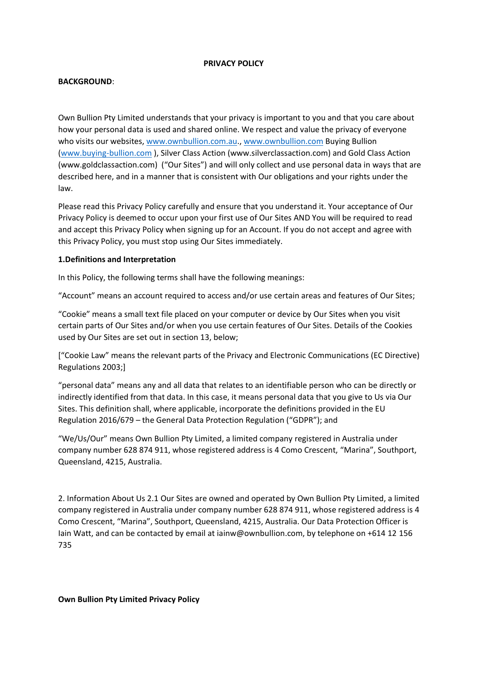#### **PRIVACY POLICY**

### **BACKGROUND**:

Own Bullion Pty Limited understands that your privacy is important to you and that you care about how your personal data is used and shared online. We respect and value the privacy of everyone who visits our websites, [www.ownbullion.com.au.](http://www.ownbullion.com.au/)[, www.ownbullion.com](http://www.ownbullion.com/) Buying Bullion [\(www.buying-bullion.com](http://www.buying-bullion.com/) ), Silver Class Action (www.silverclassaction.com) and Gold Class Action (www.goldclassaction.com) ("Our Sites") and will only collect and use personal data in ways that are described here, and in a manner that is consistent with Our obligations and your rights under the law.

Please read this Privacy Policy carefully and ensure that you understand it. Your acceptance of Our Privacy Policy is deemed to occur upon your first use of Our Sites AND You will be required to read and accept this Privacy Policy when signing up for an Account. If you do not accept and agree with this Privacy Policy, you must stop using Our Sites immediately.

### **1.Definitions and Interpretation**

In this Policy, the following terms shall have the following meanings:

"Account" means an account required to access and/or use certain areas and features of Our Sites;

"Cookie" means a small text file placed on your computer or device by Our Sites when you visit certain parts of Our Sites and/or when you use certain features of Our Sites. Details of the Cookies used by Our Sites are set out in section 13, below;

["Cookie Law" means the relevant parts of the Privacy and Electronic Communications (EC Directive) Regulations 2003;]

"personal data" means any and all data that relates to an identifiable person who can be directly or indirectly identified from that data. In this case, it means personal data that you give to Us via Our Sites. This definition shall, where applicable, incorporate the definitions provided in the EU Regulation 2016/679 – the General Data Protection Regulation ("GDPR"); and

"We/Us/Our" means Own Bullion Pty Limited, a limited company registered in Australia under company number 628 874 911, whose registered address is 4 Como Crescent, "Marina", Southport, Queensland, 4215, Australia.

2. Information About Us 2.1 Our Sites are owned and operated by Own Bullion Pty Limited, a limited company registered in Australia under company number 628 874 911, whose registered address is 4 Como Crescent, "Marina", Southport, Queensland, 4215, Australia. Our Data Protection Officer is Iain Watt, and can be contacted by email at iainw@ownbullion.com, by telephone on +614 12 156 735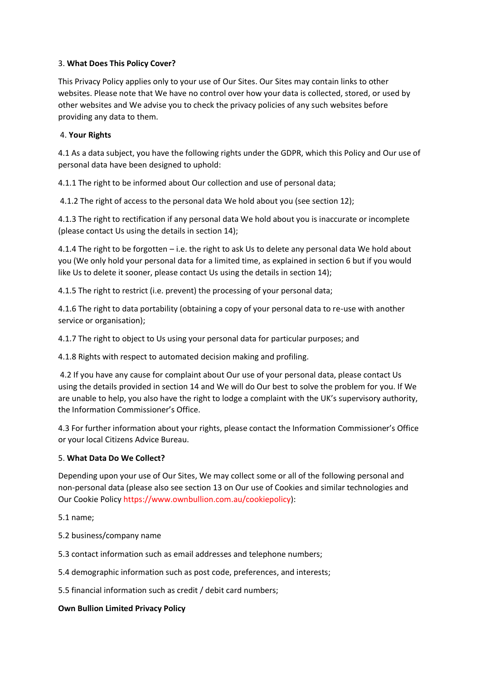### 3. **What Does This Policy Cover?**

This Privacy Policy applies only to your use of Our Sites. Our Sites may contain links to other websites. Please note that We have no control over how your data is collected, stored, or used by other websites and We advise you to check the privacy policies of any such websites before providing any data to them.

### 4. **Your Rights**

4.1 As a data subject, you have the following rights under the GDPR, which this Policy and Our use of personal data have been designed to uphold:

4.1.1 The right to be informed about Our collection and use of personal data;

4.1.2 The right of access to the personal data We hold about you (see section 12);

4.1.3 The right to rectification if any personal data We hold about you is inaccurate or incomplete (please contact Us using the details in section 14);

4.1.4 The right to be forgotten – i.e. the right to ask Us to delete any personal data We hold about you (We only hold your personal data for a limited time, as explained in section 6 but if you would like Us to delete it sooner, please contact Us using the details in section 14);

4.1.5 The right to restrict (i.e. prevent) the processing of your personal data;

4.1.6 The right to data portability (obtaining a copy of your personal data to re-use with another service or organisation);

4.1.7 The right to object to Us using your personal data for particular purposes; and

4.1.8 Rights with respect to automated decision making and profiling.

4.2 If you have any cause for complaint about Our use of your personal data, please contact Us using the details provided in section 14 and We will do Our best to solve the problem for you. If We are unable to help, you also have the right to lodge a complaint with the UK's supervisory authority, the Information Commissioner's Office.

4.3 For further information about your rights, please contact the Information Commissioner's Office or your local Citizens Advice Bureau.

### 5. **What Data Do We Collect?**

Depending upon your use of Our Sites, We may collect some or all of the following personal and non-personal data (please also see section 13 on Our use of Cookies and similar technologies and Our Cookie Policy https://www.ownbullion.com.au/cookiepolicy):

5.1 name;

5.2 business/company name

5.3 contact information such as email addresses and telephone numbers;

5.4 demographic information such as post code, preferences, and interests;

5.5 financial information such as credit / debit card numbers;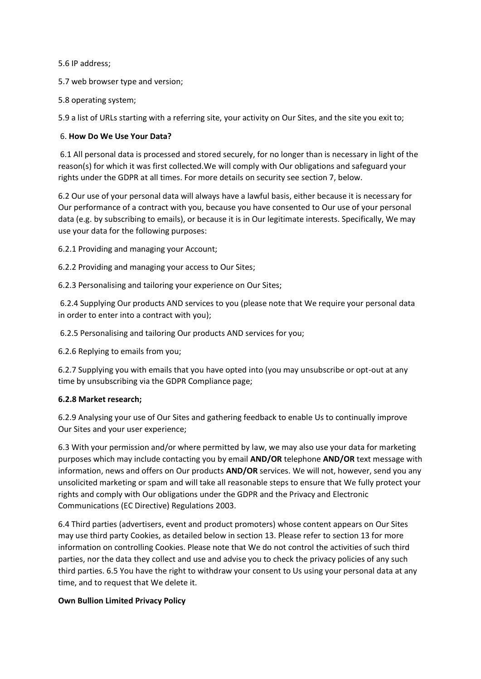5.6 IP address;

5.7 web browser type and version;

5.8 operating system;

5.9 a list of URLs starting with a referring site, your activity on Our Sites, and the site you exit to;

### 6. **How Do We Use Your Data?**

6.1 All personal data is processed and stored securely, for no longer than is necessary in light of the reason(s) for which it was first collected.We will comply with Our obligations and safeguard your rights under the GDPR at all times. For more details on security see section 7, below.

6.2 Our use of your personal data will always have a lawful basis, either because it is necessary for Our performance of a contract with you, because you have consented to Our use of your personal data (e.g. by subscribing to emails), or because it is in Our legitimate interests. Specifically, We may use your data for the following purposes:

6.2.1 Providing and managing your Account;

6.2.2 Providing and managing your access to Our Sites;

6.2.3 Personalising and tailoring your experience on Our Sites;

6.2.4 Supplying Our products AND services to you (please note that We require your personal data in order to enter into a contract with you);

6.2.5 Personalising and tailoring Our products AND services for you;

6.2.6 Replying to emails from you;

6.2.7 Supplying you with emails that you have opted into (you may unsubscribe or opt-out at any time by unsubscribing via the GDPR Compliance page;

### **6.2.8 Market research;**

6.2.9 Analysing your use of Our Sites and gathering feedback to enable Us to continually improve Our Sites and your user experience;

6.3 With your permission and/or where permitted by law, we may also use your data for marketing purposes which may include contacting you by email **AND/OR** telephone **AND/OR** text message with information, news and offers on Our products **AND/OR** services. We will not, however, send you any unsolicited marketing or spam and will take all reasonable steps to ensure that We fully protect your rights and comply with Our obligations under the GDPR and the Privacy and Electronic Communications (EC Directive) Regulations 2003.

6.4 Third parties (advertisers, event and product promoters) whose content appears on Our Sites may use third party Cookies, as detailed below in section 13. Please refer to section 13 for more information on controlling Cookies. Please note that We do not control the activities of such third parties, nor the data they collect and use and advise you to check the privacy policies of any such third parties. 6.5 You have the right to withdraw your consent to Us using your personal data at any time, and to request that We delete it.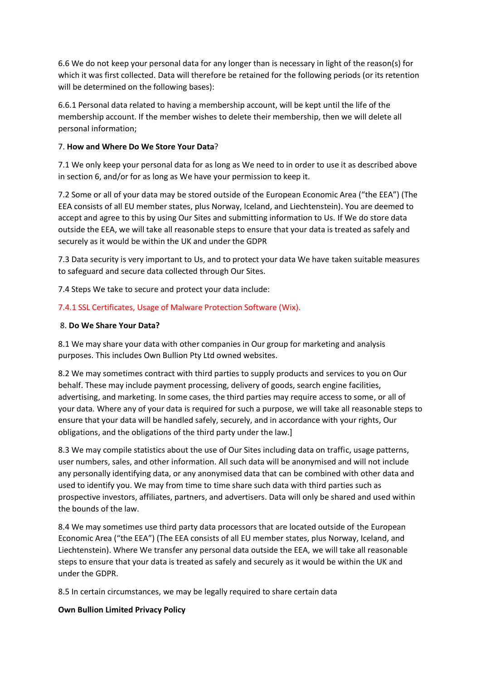6.6 We do not keep your personal data for any longer than is necessary in light of the reason(s) for which it was first collected. Data will therefore be retained for the following periods (or its retention will be determined on the following bases):

6.6.1 Personal data related to having a membership account, will be kept until the life of the membership account. If the member wishes to delete their membership, then we will delete all personal information;

### 7. **How and Where Do We Store Your Data**?

7.1 We only keep your personal data for as long as We need to in order to use it as described above in section 6, and/or for as long as We have your permission to keep it.

7.2 Some or all of your data may be stored outside of the European Economic Area ("the EEA") (The EEA consists of all EU member states, plus Norway, Iceland, and Liechtenstein). You are deemed to accept and agree to this by using Our Sites and submitting information to Us. If We do store data outside the EEA, we will take all reasonable steps to ensure that your data is treated as safely and securely as it would be within the UK and under the GDPR

7.3 Data security is very important to Us, and to protect your data We have taken suitable measures to safeguard and secure data collected through Our Sites.

7.4 Steps We take to secure and protect your data include:

# 7.4.1 SSL Certificates, Usage of Malware Protection Software (Wix).

### 8. **Do We Share Your Data?**

8.1 We may share your data with other companies in Our group for marketing and analysis purposes. This includes Own Bullion Pty Ltd owned websites.

8.2 We may sometimes contract with third parties to supply products and services to you on Our behalf. These may include payment processing, delivery of goods, search engine facilities, advertising, and marketing. In some cases, the third parties may require access to some, or all of your data. Where any of your data is required for such a purpose, we will take all reasonable steps to ensure that your data will be handled safely, securely, and in accordance with your rights, Our obligations, and the obligations of the third party under the law.]

8.3 We may compile statistics about the use of Our Sites including data on traffic, usage patterns, user numbers, sales, and other information. All such data will be anonymised and will not include any personally identifying data, or any anonymised data that can be combined with other data and used to identify you. We may from time to time share such data with third parties such as prospective investors, affiliates, partners, and advertisers. Data will only be shared and used within the bounds of the law.

8.4 We may sometimes use third party data processors that are located outside of the European Economic Area ("the EEA") (The EEA consists of all EU member states, plus Norway, Iceland, and Liechtenstein). Where We transfer any personal data outside the EEA, we will take all reasonable steps to ensure that your data is treated as safely and securely as it would be within the UK and under the GDPR.

8.5 In certain circumstances, we may be legally required to share certain data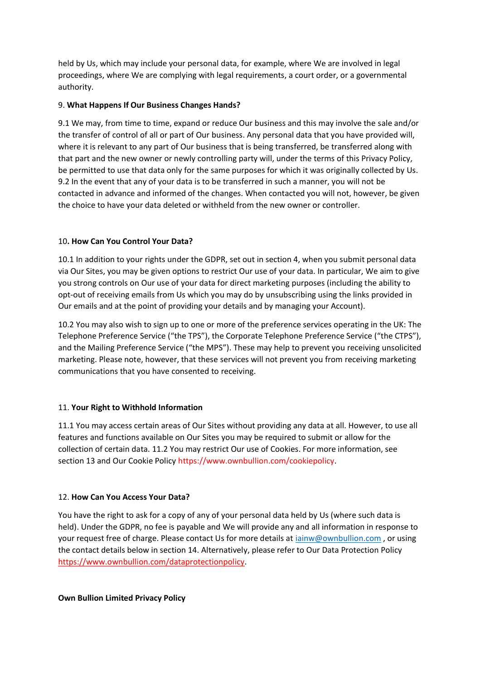held by Us, which may include your personal data, for example, where We are involved in legal proceedings, where We are complying with legal requirements, a court order, or a governmental authority.

# 9. **What Happens If Our Business Changes Hands?**

9.1 We may, from time to time, expand or reduce Our business and this may involve the sale and/or the transfer of control of all or part of Our business. Any personal data that you have provided will, where it is relevant to any part of Our business that is being transferred, be transferred along with that part and the new owner or newly controlling party will, under the terms of this Privacy Policy, be permitted to use that data only for the same purposes for which it was originally collected by Us. 9.2 In the event that any of your data is to be transferred in such a manner, you will not be contacted in advance and informed of the changes. When contacted you will not, however, be given the choice to have your data deleted or withheld from the new owner or controller.

# 10**. How Can You Control Your Data?**

10.1 In addition to your rights under the GDPR, set out in section 4, when you submit personal data via Our Sites, you may be given options to restrict Our use of your data. In particular, We aim to give you strong controls on Our use of your data for direct marketing purposes (including the ability to opt-out of receiving emails from Us which you may do by unsubscribing using the links provided in Our emails and at the point of providing your details and by managing your Account).

10.2 You may also wish to sign up to one or more of the preference services operating in the UK: The Telephone Preference Service ("the TPS"), the Corporate Telephone Preference Service ("the CTPS"), and the Mailing Preference Service ("the MPS"). These may help to prevent you receiving unsolicited marketing. Please note, however, that these services will not prevent you from receiving marketing communications that you have consented to receiving.

# 11. **Your Right to Withhold Information**

11.1 You may access certain areas of Our Sites without providing any data at all. However, to use all features and functions available on Our Sites you may be required to submit or allow for the collection of certain data. 11.2 You may restrict Our use of Cookies. For more information, see section 13 and Our Cookie Policy https://www.ownbullion.com/cookiepolicy.

# 12. **How Can You Access Your Data?**

You have the right to ask for a copy of any of your personal data held by Us (where such data is held). Under the GDPR, no fee is payable and We will provide any and all information in response to your request free of charge. Please contact Us for more details at [iainw@ownbullion.com](mailto:iainw@ownbullion.com) , or using the contact details below in section 14. Alternatively, please refer to Our Data Protection Policy [https://www.ownbullion.com/dataprotectionpolicy.](https://www.ownbullion.com/dataprotectionpolicy)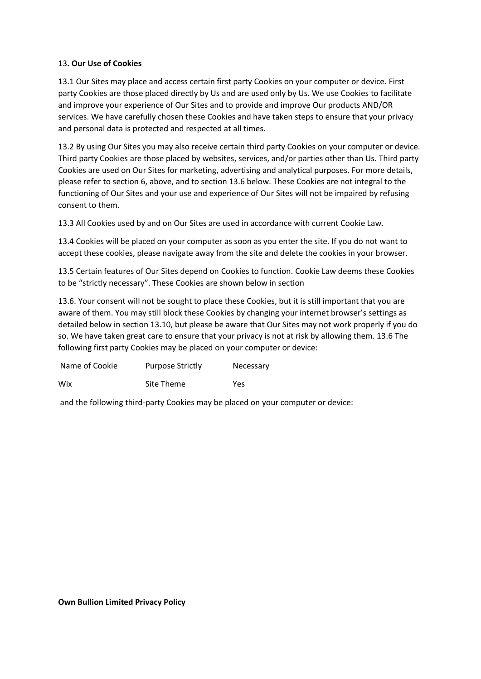### 13**. Our Use of Cookies**

13.1 Our Sites may place and access certain first party Cookies on your computer or device. First party Cookies are those placed directly by Us and are used only by Us. We use Cookies to facilitate and improve your experience of Our Sites and to provide and improve Our products AND/OR services. We have carefully chosen these Cookies and have taken steps to ensure that your privacy and personal data is protected and respected at all times.

13.2 By using Our Sites you may also receive certain third party Cookies on your computer or device. Third party Cookies are those placed by websites, services, and/or parties other than Us. Third party Cookies are used on Our Sites for marketing, advertising and analytical purposes. For more details, please refer to section 6, above, and to section 13.6 below. These Cookies are not integral to the functioning of Our Sites and your use and experience of Our Sites will not be impaired by refusing consent to them.

13.3 All Cookies used by and on Our Sites are used in accordance with current Cookie Law.

13.4 Cookies will be placed on your computer as soon as you enter the site. If you do not want to accept these cookies, please navigate away from the site and delete the cookies in your browser.

13.5 Certain features of Our Sites depend on Cookies to function. Cookie Law deems these Cookies to be "strictly necessary". These Cookies are shown below in section

13.6. Your consent will not be sought to place these Cookies, but it is still important that you are aware of them. You may still block these Cookies by changing your internet browser's settings as detailed below in section 13.10, but please be aware that Our Sites may not work properly if you do so. We have taken great care to ensure that your privacy is not at risk by allowing them. 13.6 The following first party Cookies may be placed on your computer or device:

| Name of Cookie | <b>Purpose Strictly</b> | Necessary |
|----------------|-------------------------|-----------|
| Wix            | Site Theme              | Yes       |

and the following third-party Cookies may be placed on your computer or device: